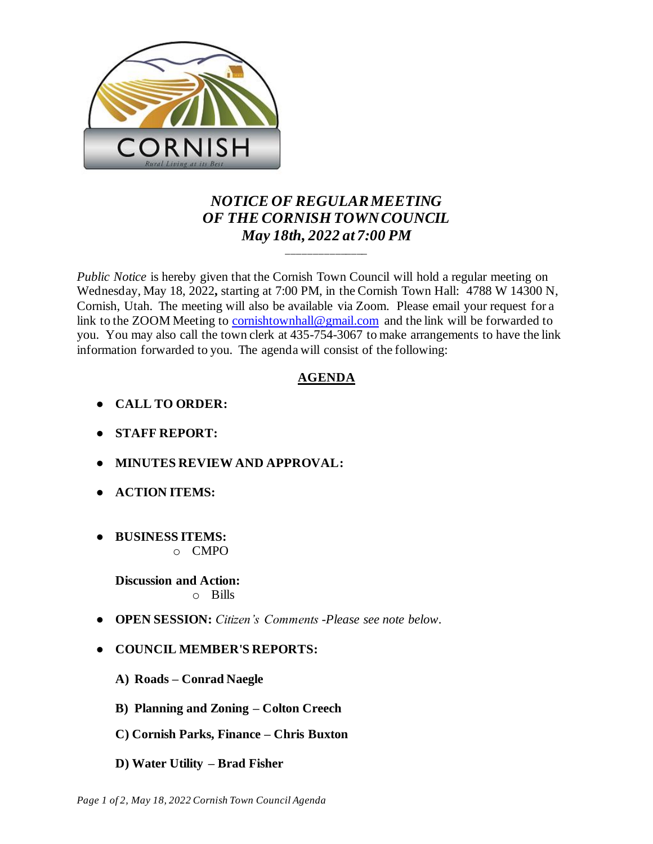

## *NOTICE OF REGULAR MEETING OF THE CORNISH TOWN COUNCIL May 18th, 2022 at 7:00 PM*

\_\_\_\_\_\_\_\_\_\_\_\_\_\_\_

*Public Notice* is hereby given that the Cornish Town Council will hold a regular meeting on Wednesday, May 18, 2022**,** starting at 7:00 PM, in the Cornish Town Hall: 4788 W 14300 N, Cornish, Utah. The meeting will also be available via Zoom. Please email your request for a link to the ZOOM Meeting to [cornishtownhall@gmail.com](mailto:cornishtownhall@gmail.com) and the link will be forwarded to you. You may also call the town clerk at 435-754-3067 to make arrangements to have the link information forwarded to you. The agenda will consist of the following:

## **AGENDA**

- **● CALL TO ORDER:**
- **● STAFF REPORT:**
- **● MINUTES REVIEW AND APPROVAL:**
- **● ACTION ITEMS:**
- **● BUSINESS ITEMS:**  o CMPO

**Discussion and Action:**  o Bills

- **OPEN SESSION:** *Citizen's Comments -Please see note below.*
- **● COUNCIL MEMBER'S REPORTS:**
	- **A) Roads – Conrad Naegle**
	- **B) Planning and Zoning – Colton Creech**
	- **C) Cornish Parks, Finance – Chris Buxton**
	- **D) Water Utility – Brad Fisher**